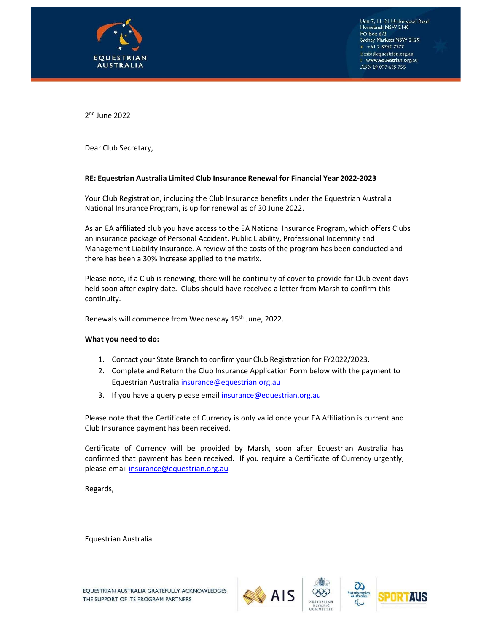

Unit 7, 11–21 Underwood Road<br>Homebush NSW 2140 PO Box 673 Sydney Markets NSW 2129  $P$  +61 2 8762 7777  $\mathbb E$  info@equestrian.org.au I www.equestrian.org.au ABN 19 077 455 755

2<sup>nd</sup> June 2022

Dear Club Secretary,

### RE: Equestrian Australia Limited Club Insurance Renewal for Financial Year 2022-2023

Your Club Registration, including the Club Insurance benefits under the Equestrian Australia National Insurance Program, is up for renewal as of 30 June 2022.

As an EA affiliated club you have access to the EA National Insurance Program, which offers Clubs an insurance package of Personal Accident, Public Liability, Professional Indemnity and Management Liability Insurance. A review of the costs of the program has been conducted and there has been a 30% increase applied to the matrix.

Please note, if a Club is renewing, there will be continuity of cover to provide for Club event days held soon after expiry date. Clubs should have received a letter from Marsh to confirm this continuity.

Renewals will commence from Wednesday 15<sup>th</sup> June, 2022.

### What you need to do:

- 1. Contact your State Branch to confirm your Club Registration for FY2022/2023.
- 2. Complete and Return the Club Insurance Application Form below with the payment to Equestrian Australia insurance@equestrian.org.au
- 3. If you have a query please email insurance@equestrian.org.au

Please note that the Certificate of Currency is only valid once your EA Affiliation is current and Club Insurance payment has been received.

Certificate of Currency will be provided by Marsh, soon after Equestrian Australia has confirmed that payment has been received. If you require a Certificate of Currency urgently, please email insurance@equestrian.org.au

Regards,

Equestrian Australia







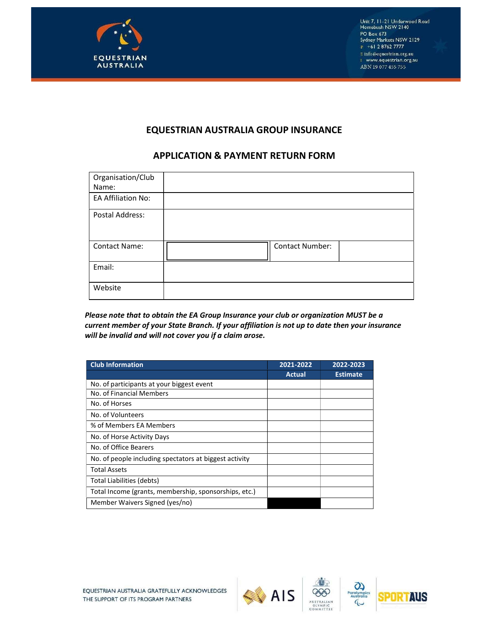

# EQUESTRIAN AUSTRALIA GROUP INSURANCE

# APPLICATION & PAYMENT RETURN FORM

| Organisation/Club<br>Name: |                 |
|----------------------------|-----------------|
| <b>EA Affiliation No:</b>  |                 |
| Postal Address:            |                 |
| <b>Contact Name:</b>       | Contact Number: |
| Email:                     |                 |
| Website                    |                 |

Please note that to obtain the EA Group Insurance your club or organization MUST be a current member of your State Branch. If your affiliation is not up to date then your insurance will be invalid and will not cover you if a claim arose.

| <b>Club Information</b>                                | 2021-2022 | 2022-2023       |
|--------------------------------------------------------|-----------|-----------------|
|                                                        | Actual    | <b>Estimate</b> |
| No. of participants at your biggest event              |           |                 |
| No. of Financial Members                               |           |                 |
| No. of Horses                                          |           |                 |
| No. of Volunteers                                      |           |                 |
| % of Members EA Members                                |           |                 |
| No. of Horse Activity Days                             |           |                 |
| No. of Office Bearers                                  |           |                 |
| No. of people including spectators at biggest activity |           |                 |
| <b>Total Assets</b>                                    |           |                 |
| Total Liabilities (debts)                              |           |                 |
| Total Income (grants, membership, sponsorships, etc.)  |           |                 |
| Member Waivers Signed (yes/no)                         |           |                 |





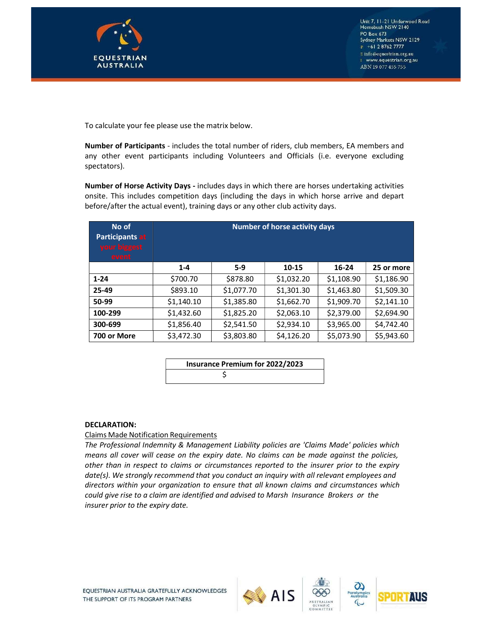

To calculate your fee please use the matrix below.

Number of Participants - includes the total number of riders, club members, EA members and any other event participants including Volunteers and Officials (i.e. everyone excluding spectators).

Number of Horse Activity Days - includes days in which there are horses undertaking activities onsite. This includes competition days (including the days in which horse arrive and depart before/after the actual event), training days or any other club activity days.

| No of<br><b>Participants at</b><br>your biggest<br>event | <b>Number of horse activity days</b> |            |            |            |            |
|----------------------------------------------------------|--------------------------------------|------------|------------|------------|------------|
|                                                          | $1 - 4$                              | $5-9$      | 10-15      | 16-24      | 25 or more |
| $1 - 24$                                                 | \$700.70                             | \$878.80   | \$1,032.20 | \$1,108.90 | \$1,186.90 |
| 25-49                                                    | \$893.10                             | \$1,077.70 | \$1,301.30 | \$1,463.80 | \$1,509.30 |
| 50-99                                                    | \$1,140.10                           | \$1,385.80 | \$1,662.70 | \$1,909.70 | \$2,141.10 |
| 100-299                                                  | \$1,432.60                           | \$1,825.20 | \$2,063.10 | \$2,379.00 | \$2,694.90 |
| 300-699                                                  | \$1,856.40                           | \$2,541.50 | \$2,934.10 | \$3,965.00 | \$4,742.40 |
| 700 or More                                              | \$3,472.30                           | \$3,803.80 | \$4,126.20 | \$5,073.90 | \$5,943.60 |

| <b>Insurance Premium for 2022/2023</b> |  |
|----------------------------------------|--|
|                                        |  |

### DECLARATION:

### Claims Made Notification Requirements

The Professional Indemnity & Management Liability policies are 'Claims Made' policies which means all cover will cease on the expiry date. No claims can be made against the policies, other than in respect to claims or circumstances reported to the insurer prior to the expiry date(s). We strongly recommend that you conduct an inquiry with all relevant employees and directors within your organization to ensure that all known claims and circumstances which could give rise to a claim are identified and advised to Marsh Insurance Brokers or the insurer prior to the expiry date.